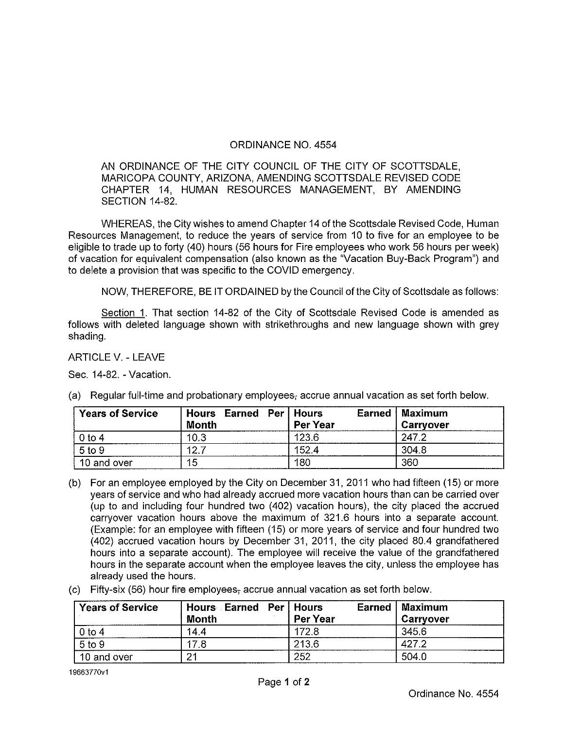## ORDINANCE NO. 4554

AN ORDINANCE OF THE CITY COUNCIL OF THE CITY OF SCOTTSDALE, MARICOPA COUNTY, ARIZONA, AMENDING SCOTTSDALE REVISED CODE CHAPTER 14, HUMAN RESOURCES MANAGEMENT, BY AMENDING SECTION 14-82.

WHEREAS, the City wishes to amend Chapter 14 of the Scottsdale Revised Code, Human Resources Management, to reduce the years of service from 10 to five for an employee to be eligible to trade up to forty (40) hours (56 hours for Fire employees who work 56 hours per week) of vacation for equivalent compensation (also known as the "Vacation Buy-Back Program") and to delete a provision that was specific to the COVID emergency.

NOW, THEREFORE, BE IT ORDAINED by the Council of the City of Scottsdale as follows:

Section 1. That section 14-82 of the City of Scottsdale Revised Code is amended as follows with deleted language shown with strikethroughs and new language shown with grey shading,

ARTICLE V. - LEAVE

Sec. 14-82. - Vacation.

| <b>Years of Service</b> | Hours Earned Per<br><b>Month</b> | Hours<br>Earned<br>Per Year | Maximum<br>Carryover |
|-------------------------|----------------------------------|-----------------------------|----------------------|
| 0 to 4                  | 10.3                             | 123.6                       | 247.2                |
| $5$ to $9$              | 12.                              | 152.4                       | 304.8                |
| 10 and over             | 15                               | 180                         | 360                  |

(a) Regular full-time and probationary employees, accrue annual vacation as set forth below.

- (b) For an employee employed by the City on December 31,2011 who had fifteen (15) or more years of service and who had already accrued more vacation hours than can be carried over (up to and including four hundred two (402) vacation hours), the city placed the accrued carryover vacation hours above the maximum of 321.6 hours into a separate account. (Example: for an employee with fifteen (15) or more years of service and four hundred two (402) accrued vacation hours by December 31, 2011, the city placed 80.4 grandfathered hours into a separate account). The employee will receive the value of the grandfathered hours in the separate account when the employee leaves the city, unless the employee has already used the hours.
- (c) Fifty-six (56) hour fire employees, accrue annual vacation as set forth below.

| <b>Years of Service</b> | Hours Earned Per Hours |          | Earned   Maximum |
|-------------------------|------------------------|----------|------------------|
|                         | Month                  | Per Year | Carryover        |
| $0$ to 4                | 14.4                   | 172.8    | 345.6            |
| 5 to 9                  | 178                    | 213.6    | 427.2            |
| 10 and over             | -24                    | 252      | 504.0            |